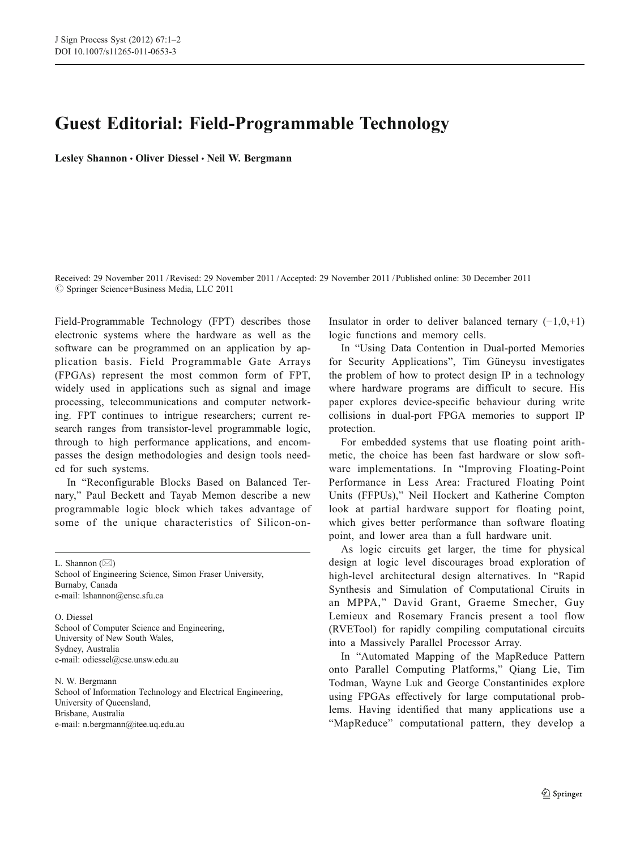## Guest Editorial: Field-Programmable Technology

Lesley Shannon · Oliver Diessel · Neil W. Bergmann

Received: 29 November 2011 /Revised: 29 November 2011 /Accepted: 29 November 2011 / Published online: 30 December 2011  $\circ$  Springer Science+Business Media, LLC 2011

Field-Programmable Technology (FPT) describes those electronic systems where the hardware as well as the software can be programmed on an application by application basis. Field Programmable Gate Arrays (FPGAs) represent the most common form of FPT, widely used in applications such as signal and image processing, telecommunications and computer networking. FPT continues to intrigue researchers; current research ranges from transistor-level programmable logic, through to high performance applications, and encompasses the design methodologies and design tools needed for such systems.

In "Reconfigurable Blocks Based on Balanced Ternary," Paul Beckett and Tayab Memon describe a new programmable logic block which takes advantage of some of the unique characteristics of Silicon-on-

L. Shannon  $(\boxtimes)$ School of Engineering Science, Simon Fraser University, Burnaby, Canada e-mail: lshannon@ensc.sfu.ca

O. Diessel School of Computer Science and Engineering, University of New South Wales, Sydney, Australia e-mail: odiessel@cse.unsw.edu.au

N. W. Bergmann School of Information Technology and Electrical Engineering, University of Queensland, Brisbane, Australia e-mail: n.bergmann@itee.uq.edu.au

Insulator in order to deliver balanced ternary  $(-1,0,1)$ logic functions and memory cells.

In "Using Data Contention in Dual-ported Memories for Security Applications", Tim Güneysu investigates the problem of how to protect design IP in a technology where hardware programs are difficult to secure. His paper explores device-specific behaviour during write collisions in dual-port FPGA memories to support IP protection.

For embedded systems that use floating point arithmetic, the choice has been fast hardware or slow software implementations. In "Improving Floating-Point Performance in Less Area: Fractured Floating Point Units (FFPUs)," Neil Hockert and Katherine Compton look at partial hardware support for floating point, which gives better performance than software floating point, and lower area than a full hardware unit.

As logic circuits get larger, the time for physical design at logic level discourages broad exploration of high-level architectural design alternatives. In "Rapid Synthesis and Simulation of Computational Ciruits in an MPPA," David Grant, Graeme Smecher, Guy Lemieux and Rosemary Francis present a tool flow (RVETool) for rapidly compiling computational circuits into a Massively Parallel Processor Array.

In "Automated Mapping of the MapReduce Pattern onto Parallel Computing Platforms," Qiang Lie, Tim Todman, Wayne Luk and George Constantinides explore using FPGAs effectively for large computational problems. Having identified that many applications use a "MapReduce" computational pattern, they develop a